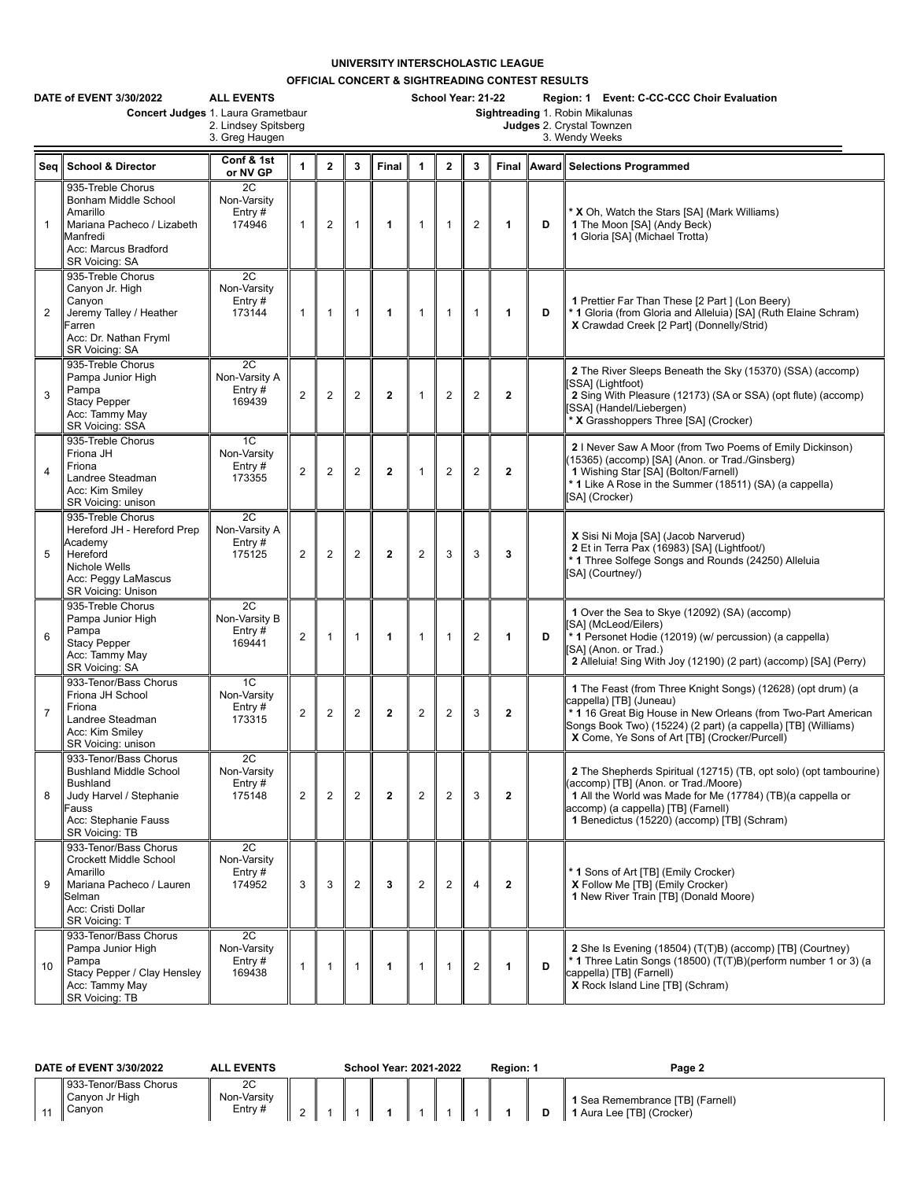## **UNIVERSITY INTERSCHOLASTIC LEAGUE**

**OFFICIAL CONCERT & SIGHTREADING CONTEST RESULTS**

|                | DATE of EVENT 3/30/2022<br>Concert Judges 1. Laura Grametbaur                                                                                                  | <b>ALL EVENTS</b><br>2. Lindsey Spitsberg<br>3. Greg Haugen |                |                |                         |                | School Year: 21-22<br>Region: 1 Event: C-CC-CCC Choir Evaluation<br>Sightreading 1. Robin Mikalunas<br>Judges 2. Crystal Townzen<br>3. Wendy Weeks |                  |                |              |   |                                                                                                                                                                                                                                                                           |  |  |
|----------------|----------------------------------------------------------------------------------------------------------------------------------------------------------------|-------------------------------------------------------------|----------------|----------------|-------------------------|----------------|----------------------------------------------------------------------------------------------------------------------------------------------------|------------------|----------------|--------------|---|---------------------------------------------------------------------------------------------------------------------------------------------------------------------------------------------------------------------------------------------------------------------------|--|--|
| Seq            | <b>School &amp; Director</b>                                                                                                                                   | Conf & 1st<br>or NV GP                                      | $\mathbf{1}$   | $\overline{2}$ | $\overline{\mathbf{3}}$ | Final          | $\blacktriangleleft$                                                                                                                               | $\overline{2}$   | 3              |              |   | Final Award Selections Programmed                                                                                                                                                                                                                                         |  |  |
| $\mathbf{1}$   | 935-Treble Chorus<br>Bonham Middle School<br>Amarillo<br>Mariana Pacheco / Lizabeth<br>Manfredi<br>Acc: Marcus Bradford<br><b>SR Voicing: SA</b>               | 2C<br>Non-Varsity<br>Entry#<br>174946                       | $\mathbf{1}$   | $\overline{2}$ | $\mathbf{1}$            | 1              | $\mathbf{1}$                                                                                                                                       | $\overline{1}$   | $\overline{2}$ | 1            | D | <b>* X</b> Oh, Watch the Stars [SA] (Mark Williams)<br>1 The Moon [SA] (Andy Beck)<br>1 Gloria [SA] (Michael Trotta)                                                                                                                                                      |  |  |
| $\overline{2}$ | 935-Treble Chorus<br>Canyon Jr. High<br>Canyon<br>Jeremy Talley / Heather<br>Farren<br>Acc: Dr. Nathan Fryml<br>SR Voicing: SA                                 | 2C<br>Non-Varsity<br>Entry $#$<br>173144                    | $\mathbf{1}$   | $\mathbf{1}$   | $\mathbf{1}$            | $\mathbf{1}$   | $\mathbf{1}$                                                                                                                                       | $\overline{1}$   | $\mathbf{1}$   | 1            | D | 1 Prettier Far Than These [2 Part ] (Lon Beery)<br>* 1 Gloria (from Gloria and Alleluia) [SA] (Ruth Elaine Schram)<br>X Crawdad Creek [2 Part] (Donnelly/Strid)                                                                                                           |  |  |
| 3              | 935-Treble Chorus<br>Pampa Junior High<br>Pampa<br><b>Stacy Pepper</b><br>Acc: Tammy May<br>SR Voicing: SSA                                                    | 2C<br>Non-Varsity A<br>Entry $#$<br>169439                  | $\overline{2}$ | $\overline{2}$ | $\overline{2}$          | $\overline{2}$ | $\mathbf{1}$                                                                                                                                       | $\overline{2}$   | $\overline{2}$ | $\mathbf{2}$ |   | 2 The River Sleeps Beneath the Sky (15370) (SSA) (accomp)<br>SSAI (Lightfoot)<br>2 Sing With Pleasure (12173) (SA or SSA) (opt flute) (accomp)<br>SSA] (Handel/Liebergen)<br>* X Grasshoppers Three [SA] (Crocker)                                                        |  |  |
| $\overline{4}$ | 935-Treble Chorus<br>Friona JH<br>Friona<br>Landree Steadman<br>Acc: Kim Smilev<br>SR Voicing: unison                                                          | 1C<br>Non-Varsity<br>Entry#<br>173355                       | $\overline{2}$ | 2              | $\overline{2}$          | $\mathbf{2}$   | $\mathbf{1}$                                                                                                                                       | $\overline{2}$   | $\overline{2}$ | $\mathbf{2}$ |   | 2 I Never Saw A Moor (from Two Poems of Emily Dickinson)<br>(15365) (accomp) [SA] (Anon. or Trad./Ginsberg)<br>1 Wishing Star [SA] (Bolton/Farnell)<br>* 1 Like A Rose in the Summer (18511) (SA) (a cappella)<br>[SA] (Crocker)                                          |  |  |
| 5              | 935-Treble Chorus<br>Hereford JH - Hereford Prep<br>Academy<br>Hereford<br>Nichole Wells<br>Acc: Peggy LaMascus<br><b>SR Voicing: Unison</b>                   | 2C<br>Non-Varsity A<br>Entry#<br>175125                     | $\overline{2}$ | $\overline{2}$ | $\overline{2}$          | $\overline{2}$ | $\overline{c}$                                                                                                                                     | 3                | 3              | 3            |   | X Sisi Ni Moja [SA] (Jacob Narverud)<br>2 Et in Terra Pax (16983) [SA] (Lightfoot/)<br>* 1 Three Solfege Songs and Rounds (24250) Alleluia<br>[SA] (Courtney/)                                                                                                            |  |  |
| $6\phantom{1}$ | 935-Treble Chorus<br>Pampa Junior High<br>Pampa<br><b>Stacy Pepper</b><br>Acc: Tammy May<br>SR Voicing: SA                                                     | 2C<br>Non-Varsity B<br>Entry#<br>169441                     | $\overline{2}$ | $\mathbf{1}$   | $\mathbf{1}$            | $\mathbf{1}$   | $\mathbf{1}$                                                                                                                                       | $\overline{1}$   | $\overline{2}$ | 1            | D | 1 Over the Sea to Skye (12092) (SA) (accomp)<br>[SA] (McLeod/Eilers)<br>* 1 Personet Hodie (12019) (w/ percussion) (a cappella)<br>[SA] (Anon. or Trad.)<br>2 Alleluia! Sing With Joy (12190) (2 part) (accomp) [SA] (Perry)                                              |  |  |
| $\overline{7}$ | 933-Tenor/Bass Chorus<br>Friona JH School<br>Friona<br>Landree Steadman<br>Acc: Kim Smiley<br>SR Voicing: unison                                               | 1 <sup>C</sup><br>Non-Varsity<br>Entry#<br>173315           | $\overline{2}$ | $\overline{2}$ | $\overline{2}$          | $\overline{2}$ | $\overline{2}$                                                                                                                                     | $\overline{2}$   | 3              | $\mathbf{2}$ |   | 1 The Feast (from Three Knight Songs) (12628) (opt drum) (a<br>cappella) [TB] (Juneau)<br>* 1 16 Great Big House in New Orleans (from Two-Part American<br>Songs Book Two) (15224) (2 part) (a cappella) [TB] (Williams)<br>X Come, Ye Sons of Art [TB] (Crocker/Purcell) |  |  |
| 8              | 933-Tenor/Bass Chorus<br><b>Bushland Middle School</b><br><b>Bushland</b><br>Judy Harvel / Stephanie<br>Fauss<br>Acc: Stephanie Fauss<br><b>SR Voicing: TB</b> | 2C<br>Non-Varsity<br>Entry#<br>175148                       | $\overline{2}$ | $\overline{2}$ | $\overline{2}$          | $\mathbf{2}$   | $\overline{2}$                                                                                                                                     | $\boldsymbol{2}$ | 3              | $\mathbf{2}$ |   | 2 The Shepherds Spiritual (12715) (TB, opt solo) (opt tambourine)<br>(accomp) [TB] (Anon. or Trad./Moore)<br>1 All the World was Made for Me (17784) (TB)(a cappella or<br>accomp) (a cappella) [TB] (Farnell)<br>1 Benedictus (15220) (accomp) [TB] (Schram)             |  |  |
| 9              | 933-Tenor/Bass Chorus<br><b>Crockett Middle School</b><br>Amarillo<br>Mariana Pacheco / Lauren<br>Selman<br>Acc: Cristi Dollar<br>SR Voicing: T                | 2C<br>Non-Varsity<br>Entry $#$<br>174952                    | 3              | 3              | $\overline{\mathbf{c}}$ | 3              | $\overline{2}$                                                                                                                                     | $\overline{2}$   | $\overline{4}$ | $\mathbf{2}$ |   | * 1 Sons of Art [TB] (Emily Crocker)<br>X Follow Me [TB] (Emily Crocker)<br>1 New River Train [TB] (Donald Moore)                                                                                                                                                         |  |  |
| 10             | 933-Tenor/Bass Chorus<br>Pampa Junior High<br>Pampa<br>Stacy Pepper / Clay Hensley<br>Acc: Tammy May<br>SR Voicing: TB                                         | 2C<br>Non-Varsity<br>Entry#<br>169438                       | 1              | $\mathbf{1}$   | $\mathbf{1}$            | 1              | $\mathbf{1}$                                                                                                                                       | $\overline{1}$   | $\overline{2}$ | 1            | D | 2 She Is Evening (18504) (T(T)B) (accomp) [TB] (Courtney)<br>* 1 Three Latin Songs (18500) (T(T)B)(perform number 1 or 3) (a<br>cappella) [TB] (Farnell)<br>X Rock Island Line [TB] (Schram)                                                                              |  |  |

| DATE of EVENT 3/30/2022 |  |                                                   | <b>ALL EVENTS</b>           | School Year: 2021-2022 |  |  |  |  | Region: 1 | Page 2 |                                                               |  |
|-------------------------|--|---------------------------------------------------|-----------------------------|------------------------|--|--|--|--|-----------|--------|---------------------------------------------------------------|--|
|                         |  | 933-Tenor/Bass Chorus<br>Canyon Jr High<br>Canyon | 2C<br>Non-Varsity<br>Entry# |                        |  |  |  |  |           |        | 1 Sea Remembrance [TB] (Farnell)<br>1 Aura Lee [TB] (Crocker) |  |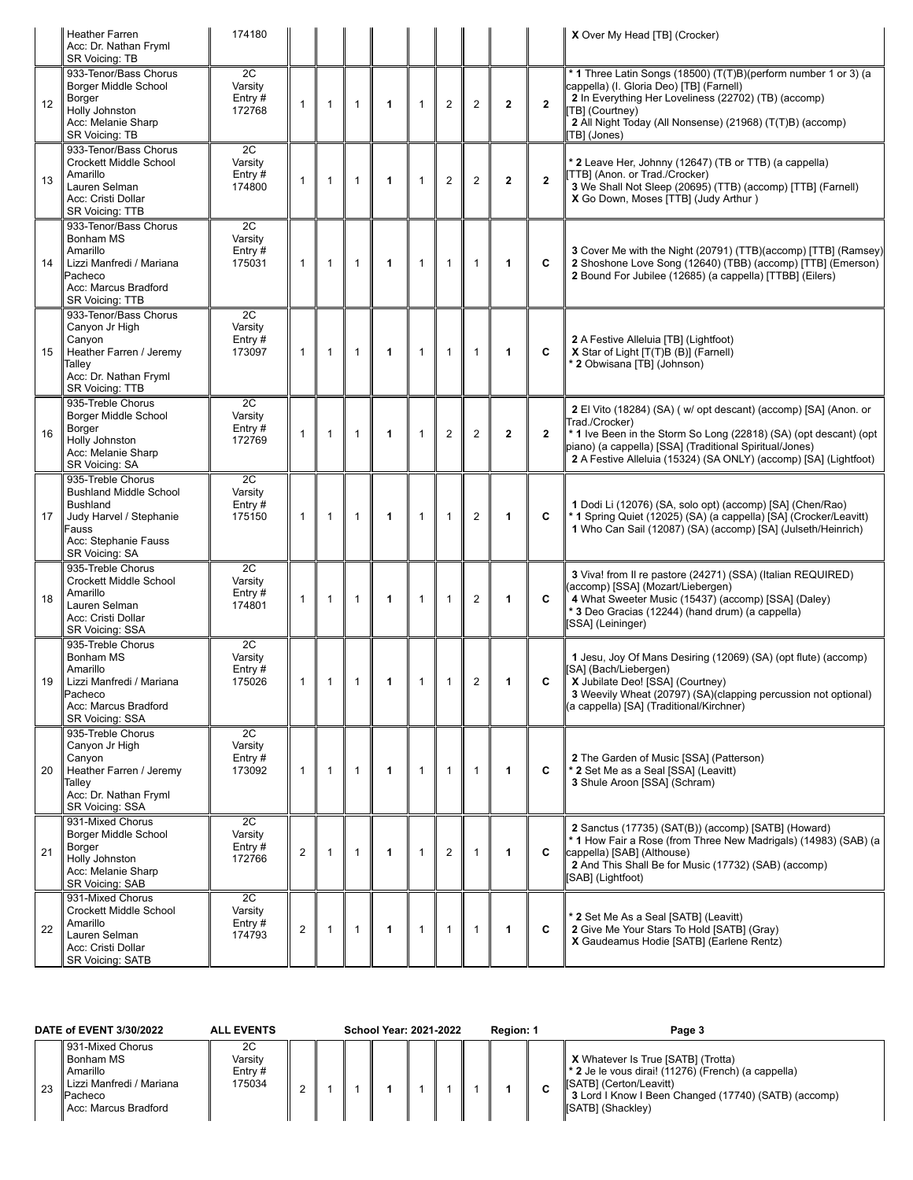|    | <b>Heather Farren</b><br>Acc: Dr. Nathan Fryml<br>SR Voicing: TB                                                                                    | 174180                               |                |              |                |              |              |                |                         |              |                | X Over My Head [TB] (Crocker)                                                                                                                                                                                                                                                        |
|----|-----------------------------------------------------------------------------------------------------------------------------------------------------|--------------------------------------|----------------|--------------|----------------|--------------|--------------|----------------|-------------------------|--------------|----------------|--------------------------------------------------------------------------------------------------------------------------------------------------------------------------------------------------------------------------------------------------------------------------------------|
| 12 | 933-Tenor/Bass Chorus<br>Borger Middle School<br>Borger<br>Holly Johnston<br>Acc: Melanie Sharp<br>SR Voicing: TB                                   | 2C<br>Varsity<br>Entry#<br>172768    | $\mathbf{1}$   | $\mathbf{1}$ | $\mathbf{1}$   | $\mathbf{1}$ | $\mathbf{1}$ | $\overline{2}$ | $\overline{2}$          | $\mathbf{2}$ | $\overline{2}$ | * 1 Three Latin Songs (18500) (T(T)B)(perform number 1 or 3) (a<br>cappella) (I. Gloria Deo) [TB] (Farnell)<br>2 In Everything Her Loveliness (22702) (TB) (accomp)<br>[TB] (Courtney)<br>2 All Night Today (All Nonsense) (21968) (T(T)B) (accomp)<br>TB] (Jones)                   |
| 13 | 933-Tenor/Bass Chorus<br><b>Crockett Middle School</b><br>Amarillo<br>Lauren Selman<br>Acc: Cristi Dollar<br><b>SR Voicing: TTB</b>                 | 2C<br>Varsity<br>Entry#<br>174800    | $\mathbf{1}$   | $\mathbf{1}$ | $\mathbf{1}$   | 1            | $\mathbf{1}$ | $\overline{2}$ | $\overline{2}$          | $\mathbf{2}$ | $\overline{2}$ | * 2 Leave Her, Johnny (12647) (TB or TTB) (a cappella)<br>[TTB] (Anon. or Trad./Crocker)<br>3 We Shall Not Sleep (20695) (TTB) (accomp) [TTB] (Farnell)<br>X Go Down, Moses [TTB] (Judy Arthur)                                                                                      |
| 14 | 933-Tenor/Bass Chorus<br>Bonham MS<br>Amarillo<br>Lizzi Manfredi / Mariana<br>Pacheco<br>Acc: Marcus Bradford<br>SR Voicing: TTB                    | 2C<br>Varsity<br>Entry#<br>175031    | $\mathbf{1}$   | $\mathbf{1}$ | $\mathbf{1}$   | 1            | $\mathbf{1}$ | $\mathbf{1}$   | $\mathbf{1}$            | 1            | C              | 3 Cover Me with the Night (20791) (TTB)(accomp) [TTB] (Ramsey)<br>2 Shoshone Love Song (12640) (TBB) (accomp) [TTB] (Emerson)<br>2 Bound For Jubilee (12685) (a cappella) [TTBB] (Eilers)                                                                                            |
| 15 | 933-Tenor/Bass Chorus<br>Canyon Jr High<br>Canyon<br>Heather Farren / Jeremy<br>Talley<br>Acc: Dr. Nathan Fryml<br><b>SR Voicing: TTB</b>           | 2C<br>Varsitv<br>Entry#<br>173097    | $\mathbf{1}$   | $\mathbf{1}$ | $\mathbf{1}$   | $\mathbf{1}$ | $\mathbf{1}$ | $\mathbf{1}$   | $\mathbf{1}$            | $\mathbf{1}$ | C              | 2 A Festive Alleluia [TB] (Lightfoot)<br>X Star of Light [T(T)B (B)] (Farnell)<br>* 2 Obwisana [TB] (Johnson)                                                                                                                                                                        |
| 16 | 935-Treble Chorus<br>Borger Middle School<br>Borger<br>Holly Johnston<br>Acc: Melanie Sharp<br>SR Voicing: SA                                       | 2C<br>Varsity<br>Entry#<br>172769    | $\mathbf{1}$   | $\mathbf{1}$ | $\mathbf{1}$   | 1            | $\mathbf{1}$ | $\overline{2}$ | $\overline{2}$          | $\mathbf{2}$ | $\overline{2}$ | 2 El Vito (18284) (SA) (w/ opt descant) (accomp) [SA] (Anon. or<br>Trad./Crocker)<br>*1 Ive Been in the Storm So Long (22818) (SA) (opt descant) (opt<br>piano) (a cappella) [SSA] (Traditional Spiritual/Jones)<br>2 A Festive Alleluia (15324) (SA ONLY) (accomp) [SA] (Lightfoot) |
| 17 | 935-Treble Chorus<br><b>Bushland Middle School</b><br><b>Bushland</b><br>Judy Harvel / Stephanie<br>Fauss<br>Acc: Stephanie Fauss<br>SR Voicing: SA | 2C<br>Varsity<br>Entry $#$<br>175150 | $\mathbf{1}$   | $\mathbf{1}$ | $\overline{1}$ | 1            | $\mathbf{1}$ | $\mathbf{1}$   | $\overline{2}$          | 1            | C              | 1 Dodi Li (12076) (SA, solo opt) (accomp) [SA] (Chen/Rao)<br>* 1 Spring Quiet (12025) (SA) (a cappella) [SA] (Crocker/Leavitt)<br>1 Who Can Sail (12087) (SA) (accomp) [SA] (Julseth/Heinrich)                                                                                       |
| 18 | 935-Treble Chorus<br><b>Crockett Middle School</b><br>Amarillo<br>Lauren Selman<br>Acc: Cristi Dollar<br>SR Voicing: SSA                            | 2C<br>Varsity<br>Entry#<br>174801    | 1              | $\mathbf{1}$ | $\mathbf{1}$   | 1            | $\mathbf{1}$ | $\overline{1}$ | $\overline{2}$          | 1            | C              | 3 Viva! from II re pastore (24271) (SSA) (Italian REQUIRED)<br>(accomp) [SSA] (Mozart/Liebergen)<br>4 What Sweeter Music (15437) (accomp) [SSA] (Daley)<br>* 3 Deo Gracias (12244) (hand drum) (a cappella)<br>[SSA] (Leininger)                                                     |
| 19 | 935-Treble Chorus<br>Bonham MS<br>Amarillo<br>Lizzi Manfredi / Mariana<br>⊇acheco<br>Acc: Marcus Bradford<br>SR Voicing: SSA                        | 2C<br>Varsity<br>Entry $#$<br>175026 | 1              | $\mathbf{1}$ | $\mathbf{1}$   | 1            | 1            | 1              | $\overline{\mathbf{c}}$ | 1            | C              | 1 Jesu, Joy Of Mans Desiring (12069) (SA) (opt flute) (accomp)<br>[SA] (Bach/Liebergen)<br>X Jubilate Deo! [SSA] (Courtney)<br>3 Weevily Wheat (20797) (SA)(clapping percussion not optional)<br>(a cappella) [SA] (Traditional/Kirchner)                                            |
| 20 | 935-Treble Chorus<br>Canyon Jr High<br>Canyon<br>Heather Farren / Jeremy<br>Talley<br>Acc: Dr. Nathan Fryml<br>SR Voicing: SSA                      | 2C<br>Varsity<br>Entry $#$<br>173092 | 1              | $\mathbf{1}$ | $\mathbf{1}$   | $\mathbf{1}$ | $\mathbf{1}$ | $\mathbf{1}$   | $\mathbf{1}$            | $\mathbf{1}$ | C              | 2 The Garden of Music [SSA] (Patterson)<br>* 2 Set Me as a Seal [SSA] (Leavitt)<br>3 Shule Aroon [SSA] (Schram)                                                                                                                                                                      |
| 21 | 931-Mixed Chorus<br>Borger Middle School<br>Borger<br>Holly Johnston<br>Acc: Melanie Sharp<br><b>SR Voicing: SAB</b>                                | 2C<br>Varsity<br>Entry#<br>172766    | $\mathbf{2}$   | $\mathbf{1}$ | $\overline{1}$ | 1            | $\mathbf{1}$ | $\overline{2}$ | $\mathbf{1}$            | $\mathbf{1}$ | C              | 2 Sanctus (17735) (SAT(B)) (accomp) [SATB] (Howard)<br>* 1 How Fair a Rose (from Three New Madrigals) (14983) (SAB) (a<br>cappella) [SAB] (Althouse)<br>2 And This Shall Be for Music (17732) (SAB) (accomp)<br>[SAB] (Lightfoot)                                                    |
| 22 | 931-Mixed Chorus<br><b>Crockett Middle School</b><br>Amarillo<br>Lauren Selman<br>Acc: Cristi Dollar<br><b>SR Voicing: SATB</b>                     | 2C<br>Varsity<br>Entry $#$<br>174793 | $\overline{2}$ | $\mathbf{1}$ | $\mathbf{1}$   | 1            | $\mathbf{1}$ | $\mathbf{1}$   | $\mathbf{1}$            | $\mathbf{1}$ | C              | * 2 Set Me As a Seal [SATB] (Leavitt)<br>2 Give Me Your Stars To Hold [SATB] (Gray)<br>X Gaudeamus Hodie [SATB] (Earlene Rentz)                                                                                                                                                      |

| DATE of EVENT 3/30/2022                                                                                                       | <b>ALL EVENTS</b>                    | <b>School Year: 2021-2022</b> | Region: 1 | Page 3                                                                                                                                                                                                               |
|-------------------------------------------------------------------------------------------------------------------------------|--------------------------------------|-------------------------------|-----------|----------------------------------------------------------------------------------------------------------------------------------------------------------------------------------------------------------------------|
| 931-Mixed Chorus<br><b>Bonham MS</b><br>Amarillo<br>Lizzi Manfredi / Mariana<br>23<br><b>IPacheco</b><br>Acc: Marcus Bradford | 2C<br>Varsitv<br>Entry $#$<br>175034 |                               |           | <b>X</b> Whatever Is True [SATB] (Trotta)<br>$\parallel$ * 2 Je le vous dirai! (11276) (French) (a cappella)<br>[SATB] (Certon/Leavitt)<br>3 Lord I Know I Been Changed (17740) (SATB) (accomp)<br>[SATB] (Shackley) |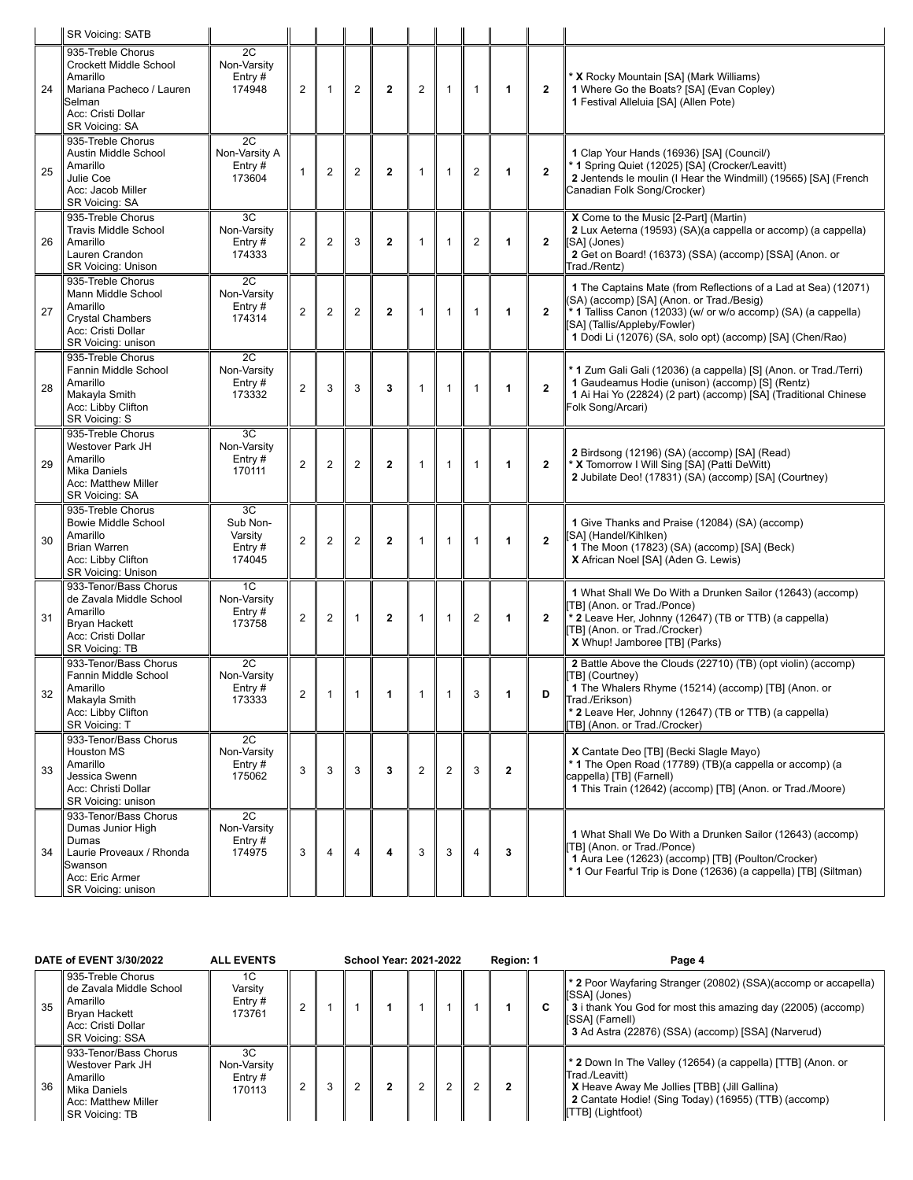|    | <b>SR Voicing: SATB</b>                                                                                                                      |                                                  |                |                |                |                |                |                |                |              |                         |                                                                                                                                                                                                                                                                            |
|----|----------------------------------------------------------------------------------------------------------------------------------------------|--------------------------------------------------|----------------|----------------|----------------|----------------|----------------|----------------|----------------|--------------|-------------------------|----------------------------------------------------------------------------------------------------------------------------------------------------------------------------------------------------------------------------------------------------------------------------|
| 24 | 935-Treble Chorus<br><b>Crockett Middle School</b><br>Amarillo<br>Mariana Pacheco / Lauren<br>Selman<br>Acc: Cristi Dollar<br>SR Voicing: SA | 2C<br>Non-Varsity<br>Entry $#$<br>174948         | $\overline{2}$ | $\mathbf{1}$   | $\overline{2}$ | $\mathbf{2}$   | $\overline{2}$ | $\mathbf{1}$   | $\mathbf{1}$   | 1            | $\mathbf{2}$            | X Rocky Mountain [SA] (Mark Williams)<br>1 Where Go the Boats? [SA] (Evan Copley)<br>1 Festival Alleluia [SA] (Allen Pote)                                                                                                                                                 |
| 25 | 935-Treble Chorus<br>Austin Middle School<br>Amarillo<br>Julie Coe<br>Acc: Jacob Miller<br>SR Voicing: SA                                    | 2C<br>Non-Varsity A<br>Entry#<br>173604          | 1              | 2              | $\overline{2}$ | $\mathbf{2}$   | $\mathbf{1}$   | $\mathbf{1}$   | $\overline{2}$ | 1            | $\mathbf{2}$            | 1 Clap Your Hands (16936) [SA] (Council/)<br>1 Spring Quiet (12025) [SA] (Crocker/Leavitt)<br>2 Jentends le moulin (I Hear the Windmill) (19565) [SA] (French<br>Canadian Folk Song/Crocker)                                                                               |
| 26 | 935-Treble Chorus<br><b>Travis Middle School</b><br>Amarillo<br>Lauren Crandon<br><b>SR Voicing: Unison</b>                                  | 3C<br>Non-Varsity<br>Entry $#$<br>174333         | $\overline{2}$ | $\overline{2}$ | 3              | $\mathbf{2}$   | 1              | $\mathbf{1}$   | $\overline{2}$ | 1            | $\mathbf{2}$            | X Come to the Music [2-Part] (Martin)<br>2 Lux Aeterna (19593) (SA)(a cappella or accomp) (a cappella)<br>[SA] (Jones)<br>2 Get on Board! (16373) (SSA) (accomp) [SSA] (Anon. or<br>Trad./Rentz)                                                                           |
| 27 | 935-Treble Chorus<br>Mann Middle School<br>Amarillo<br><b>Crystal Chambers</b><br>Acc: Cristi Dollar<br>SR Voicing: unison                   | 2C<br>Non-Varsity<br>Entry $#$<br>174314         | $\overline{2}$ | $\overline{2}$ | $\overline{2}$ | $\overline{2}$ | 1              | $\mathbf{1}$   | $\mathbf{1}$   | 1            | $\mathbf{2}$            | 1 The Captains Mate (from Reflections of a Lad at Sea) (12071)<br>(SA) (accomp) [SA] (Anon. or Trad./Besig)<br>* 1 Talliss Canon (12033) (w/ or w/o accomp) (SA) (a cappella)<br>[SA] (Tallis/Appleby/Fowler)<br>1 Dodi Li (12076) (SA, solo opt) (accomp) [SA] (Chen/Rao) |
| 28 | 935-Treble Chorus<br>Fannin Middle School<br>Amarillo<br>Makayla Smith<br>Acc: Libby Clifton<br>SR Voicing: S                                | 2C<br>Non-Varsity<br>Entry $#$<br>173332         | $\overline{2}$ | 3              | 3              | 3              | $\mathbf{1}$   | $\mathbf{1}$   | $\mathbf{1}$   | 1            | $\mathbf{2}$            | <sup>*</sup> 1 Zum Gali Gali (12036) (a cappella) [S] (Anon. or Trad./Terri)<br>1 Gaudeamus Hodie (unison) (accomp) [S] (Rentz)<br>1 Ai Hai Yo (22824) (2 part) (accomp) [SA] (Traditional Chinese<br>Folk Song/Arcari)                                                    |
| 29 | 935-Treble Chorus<br>Westover Park JH<br>Amarillo<br><b>Mika Daniels</b><br>Acc: Matthew Miller<br>SR Voicing: SA                            | 3C<br>Non-Varsity<br>Entry $#$<br>170111         | $\overline{2}$ | $\overline{2}$ | $\overline{2}$ | $\mathbf{2}$   | $\mathbf{1}$   | $\mathbf{1}$   | 1              | 1            | $\mathbf{2}$            | 2 Birdsong (12196) (SA) (accomp) [SA] (Read)<br>* X Tomorrow I Will Sing [SA] (Patti DeWitt)<br>2 Jubilate Deo! (17831) (SA) (accomp) [SA] (Courtney)                                                                                                                      |
| 30 | 935-Treble Chorus<br><b>Bowie Middle School</b><br>Amarillo<br><b>Brian Warren</b><br>Acc: Libby Clifton<br>SR Voicing: Unison               | 3C<br>Sub Non-<br>Varsity<br>Entry $#$<br>174045 | $\overline{2}$ | $\overline{c}$ | $\overline{2}$ | $\mathbf{2}$   | $\mathbf{1}$   | $\mathbf{1}$   | 1              | 1            | $\overline{\mathbf{2}}$ | 1 Give Thanks and Praise (12084) (SA) (accomp)<br>SA] (Handel/Kihlken)<br>1 The Moon (17823) (SA) (accomp) [SA] (Beck)<br>X African Noel [SA] (Aden G. Lewis)                                                                                                              |
| 31 | 933-Tenor/Bass Chorus<br>de Zavala Middle School<br>Amarillo<br>Bryan Hackett<br>Acc: Cristi Dollar<br>SR Voicing: TB                        | 1C<br>Non-Varsity<br>Entry $#$<br>173758         | 2              | $\overline{c}$ | $\mathbf{1}$   | $\mathbf{2}$   | $\mathbf{1}$   | $\mathbf{1}$   | $\mathbf 2$    | 1            | $\mathbf{2}$            | 1 What Shall We Do With a Drunken Sailor (12643) (accomp)<br>TB] (Anon. or Trad./Ponce)<br>* 2 Leave Her, Johnny (12647) (TB or TTB) (a cappella)<br>TB] (Anon. or Trad./Crocker)<br>X Whup! Jamboree [TB] (Parks)                                                         |
| 32 | 933-Tenor/Bass Chorus<br>Fannin Middle School<br>Amarillo<br>Makayla Smith<br>Acc: Libby Clifton<br>SR Voicing: T                            | 2C<br>Non-Varsity<br>Entry $#$<br>173333         | $\overline{c}$ |                |                |                |                |                |                |              |                         | 2 Battle Above the Clouds (22710) (TB) (opt violin) (accomp)<br>TB] (Courtney)<br>1 The Whalers Rhyme (15214) (accomp) [TB] (Anon. or<br>Trad./Erikson)<br><sup>*</sup> 2 Leave Her, Johnny (12647) (TB or TTB) (a cappella)<br>TB] (Anon. or Trad./Crocker)               |
| 33 | 933-Tenor/Bass Chorus<br><b>Houston MS</b><br>Amarillo<br>Jessica Swenn<br>Acc: Christi Dollar<br>SR Voicing: unison                         | 2C<br>Non-Varsity<br>Entry#<br>175062            | 3              | 3              | 3              | 3              | $\overline{2}$ | $\overline{2}$ | 3              | $\mathbf{2}$ |                         | X Cantate Deo [TB] (Becki Slagle Mayo)<br><sup>t</sup> 1 The Open Road (17789) (TB)(a cappella or accomp) (a<br>cappella) [TB] (Farnell)<br>1 This Train (12642) (accomp) [TB] (Anon. or Trad./Moore)                                                                      |
| 34 | 933-Tenor/Bass Chorus<br>Dumas Junior High<br>Dumas<br>Laurie Proveaux / Rhonda<br>Swanson<br>Acc: Eric Armer<br>SR Voicing: unison          | 2C<br>Non-Varsity<br>Entry#<br>174975            | 3              | $\overline{4}$ | 4              | 4              | 3              | 3              | $\overline{4}$ | 3            |                         | 1 What Shall We Do With a Drunken Sailor (12643) (accomp)<br>TB] (Anon. or Trad./Ponce)<br>1 Aura Lee (12623) (accomp) [TB] (Poulton/Crocker)<br>1 Our Fearful Trip is Done (12636) (a cappella) [TB] (Siltman)                                                            |

|    | DATE of EVENT 3/30/2022                                                                                                          | <b>ALL EVENTS</b>                        |  |   |  |  | <b>School Year: 2021-2022</b> |  |  |  |   | Page 4                                                                                                                                                                                                                   |
|----|----------------------------------------------------------------------------------------------------------------------------------|------------------------------------------|--|---|--|--|-------------------------------|--|--|--|---|--------------------------------------------------------------------------------------------------------------------------------------------------------------------------------------------------------------------------|
| 35 | 935-Treble Chorus<br>de Zavala Middle School<br>Amarillo<br><b>Bryan Hackett</b><br>Acc: Cristi Dollar<br><b>SR Voicing: SSA</b> | 1C<br>Varsity<br>Entry $#$<br>173761     |  |   |  |  |                               |  |  |  | C | * 2 Poor Wayfaring Stranger (20802) (SSA)(accomp or accapella)<br>[SSA] (Jones)<br>3 i thank You God for most this amazing day (22005) (accomp)<br>[SSA] (Farnell)<br>3 Ad Astra (22876) (SSA) (accomp) [SSA] (Narverud) |
| 36 | 933-Tenor/Bass Chorus<br><b>Westover Park JH</b><br>Amarillo<br>Mika Daniels<br>Acc: Matthew Miller<br><b>SR Voicing: TB</b>     | 3C<br>Non-Varsity<br>Entry $#$<br>170113 |  | 3 |  |  | 2                             |  |  |  |   | * 2 Down In The Valley (12654) (a cappella) [TTB] (Anon. or<br>Trad./Leavitt)<br>X Heave Away Me Jollies [TBB] (Jill Gallina)<br>2 Cantate Hodie! (Sing Today) (16955) (TTB) (accomp)<br><b>TTB</b> (Lightfoot)          |